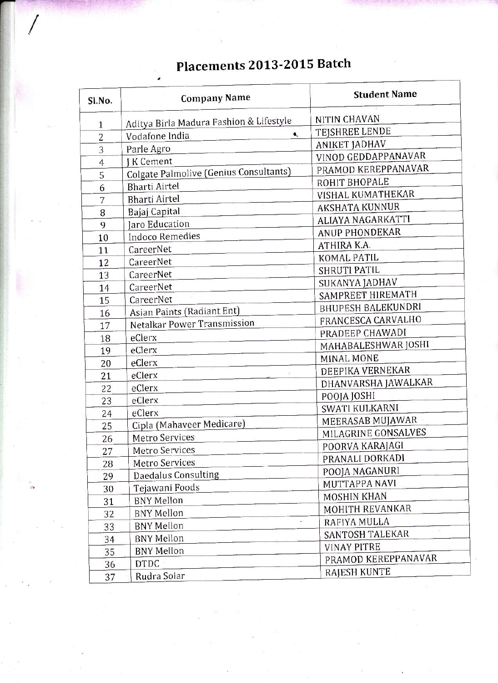## Placements 2013-2015 Batch

| Sl.No.         | <b>Company Name</b>                     | <b>Student Name</b>       |
|----------------|-----------------------------------------|---------------------------|
| 1              | Aditya Birla Madura Fashion & Lifestyle | NITIN CHAVAN              |
| $\overline{c}$ | Vodafone India<br>۹,                    | TEJSHREE LENDE            |
| 3              | Parle Agro                              | <b>ANIKET JADHAV</b>      |
| $\overline{4}$ | <b>IK Cement</b>                        | VINOD GEDDAPPANAVAR       |
| 5              | Colgate Palmolive (Genius Consultants)  | PRAMOD KEREPPANAVAR       |
| 6              | <b>Bharti Airtel</b>                    | ROHIT BHOPALE             |
| 7              | <b>Bharti Airtel</b>                    | VISHAL KUMATHEKAR         |
| 8              | Bajaj Capital                           | <b>AKSHATA KUNNUR</b>     |
| 9              | <b>Jaro Education</b>                   | <b>ALIAYA NAGARKATTI</b>  |
| 10             | <b>Indoco Remedies</b>                  | ANUP PHONDEKAR            |
| 11             | CareerNet                               | ATHIRA K.A.               |
| 12             | CareerNet                               | KOMAL PATIL               |
| 13             | CareerNet                               | <b>SHRUTI PATIL</b>       |
| 14             | CareerNet                               | SUKANYA JADHAV            |
| 15             | CareerNet                               | SAMPREET HIREMATH         |
| 16             | Asian Paints (Radiant Ent)              | <b>BHUPESH BALEKUNDRI</b> |
| 17             | <b>Netalkar Power Transmission</b>      | FRANCESCA CARVALHO        |
| 18             | eClerx                                  | PRADEEP CHAWADI           |
| 19             | eClerx                                  | MAHABALESHWAR JOSHI       |
| 20             | eClerx                                  | <b>MINAL MONE</b>         |
| 21             | eClerx                                  | DEEPIKA VERNEKAR          |
| 22             | eClerx                                  | DHANVARSHA JAWALKAR       |
| 23             | eClerx                                  | POOJA JOSHI               |
| 24             | eClerx                                  | SWATI KULKARNI            |
| 25             | Cipla (Mahaveer Medicare)               | MEERASAB MUJAWAR          |
| 26             | Metro Services                          | MILAGRINE GONSALVES       |
| 27             | Metro Services                          | POORVA KARAJAGI           |
| 28             | Metro Services                          | PRANALI DORKADI           |
| 29             | Daedalus Consulting                     | POOJA NAGANURI            |
| 30             | Tejawani Foods                          | MUTTAPPA NAVI             |
| 31             | <b>BNY Mellon</b>                       | <b>MOSHIN KHAN</b>        |
| 32             | <b>BNY Mellon</b>                       | MOHITH REVANKAR           |
| 33             | <b>BNY Mellon</b>                       | RAFIYA MULLA              |
| 34             | <b>BNY Mellon</b>                       | SANTOSH TALEKAR           |
| 35             | <b>BNY Mellon</b>                       | <b>VINAY PITRE</b>        |
| 36             | <b>DTDC</b>                             | PRAMOD KEREPPANAVAR       |
| 37             | Rudra Solar                             | RAJESH KUNTE              |